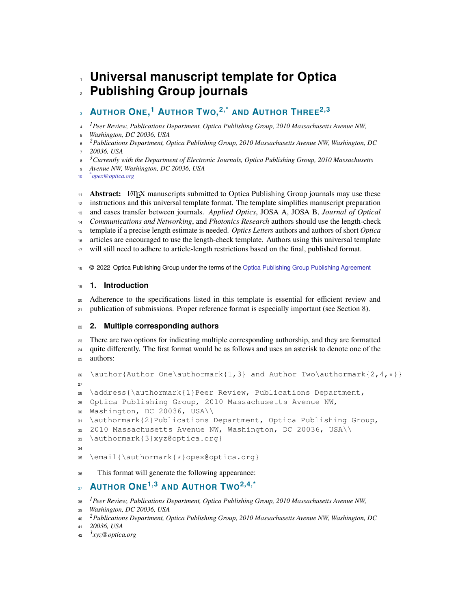# **Universal manuscript template for Optica Publishing Group journals**

#### **AUTHOR ONE, <sup>1</sup> AUTHOR TWO, 2,\* AND AUTHOR THREE2,3**

*1 Peer Review, Publications Department, Optica Publishing Group, 2010 Massachusetts Avenue NW,*

*Washington, DC 20036, USA*

*2 Publications Department, Optica Publishing Group, 2010 Massachusetts Avenue NW, Washington, DC 20036, USA*

*3 Currently with the Department of Electronic Journals, Optica Publishing Group, 2010 Massachusetts*

*Avenue NW, Washington, DC 20036, USA*

*\* opex@optica.org*

<sup>11</sup> **Abstract:** LAT<sub>EX</sub> manuscripts submitted to Optica Publishing Group journals may use these <sup>12</sup> instructions and this universal template format. The template simplifies manuscript preparation and eases transfer between journals. *Applied Optics*, JOSA A, JOSA B, *Journal of Optical Communications and Networking*, and *Photonics Research* authors should use the length-check template if a precise length estimate is needed. *Optics Letters* authors and authors of short *Optica* articles are encouraged to use the length-check template. Authors using this universal template will still need to adhere to article-length restrictions based on the final, published format. © 2022 Optica Publishing Group under the terms of the [Optica Publishing Group Publishing Agreement](https://opg.optica.org/submit/review/copyright_permissions.cfm)

# **1. Introduction**

 Adherence to the specifications listed in this template is essential for efficient review and  $_{21}$  publication of submissions. Proper reference format is especially important (see Section [8\)](#page-4-0).

# **2. Multiple corresponding authors**

 There are two options for indicating multiple corresponding authorship, and they are formatted quite differently. The first format would be as follows and uses an asterisk to denote one of the authors:

```
26 \author{Author One\authormark{1,3} and Author Two\authormark{2,4, \star}}
27
28 \address{\authormark{1}Peer Review, Publications Department,
29 Optica Publishing Group, 2010 Massachusetts Avenue NW,
30 Washington, DC 20036, USA\\
31 \authormark{2}Publications Department, Optica Publishing Group,
32 2010 Massachusetts Avenue NW, Washington, DC 20036, USA\\
33 \authormark{3}xyz@optica.org}
34
35 \email{\authormark{*}opex@optica.org}
```
# This format will generate the following appearance:

#### **AUTHOR ONE1,3 AND AUTHOR TWO2,4,\***

*1 Peer Review, Publications Department, Optica Publishing Group, 2010 Massachusetts Avenue NW,*

```
39 Washington, DC 20036, USA
```
*2 Publications Department, Optica Publishing Group, 2010 Massachusetts Avenue NW, Washington, DC*

```
41 20036, USA
```

```
3
42 xyz@optica.org
```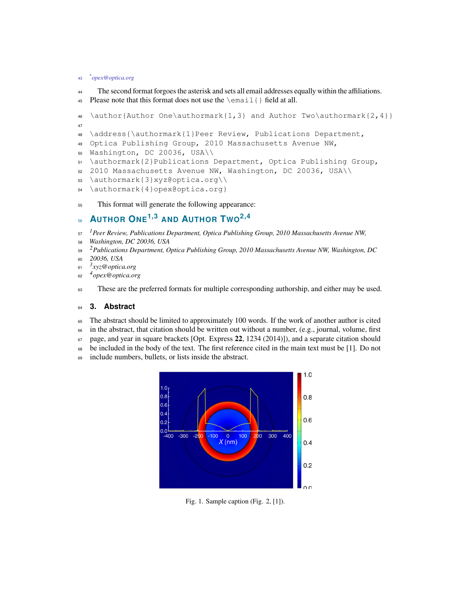#### *\* opex@optica.org*

- The second format forgoes the asterisk and sets all email addresses equally within the affiliations.
- Please note that this format does not use the \email{} field at all.

```
46 \author{Author One\authormark{1,3} and Author Two\authormark{2,4}}
47
48 \address{\authormark{1}Peer Review, Publications Department,
49 Optica Publishing Group, 2010 Massachusetts Avenue NW,
50 Washington, DC 20036, USA\\
```
- \authormark{2}Publications Department, Optica Publishing Group,
- 2010 Massachusetts Avenue NW, Washington, DC 20036, USA\\
- \authormark{3}xyz@optica.org\\
- \authormark{4}opex@optica.org}
- This format will generate the following appearance:

#### **AUTHOR ONE1,3 AND AUTHOR TWO2,4**

- *1 Peer Review, Publications Department, Optica Publishing Group, 2010 Massachusetts Avenue NW,*
- *Washington, DC 20036, USA*
- *2 Publications Department, Optica Publishing Group, 2010 Massachusetts Avenue NW, Washington, DC*
- *20036, USA*
- *3 xyz@optica.org*
- *4 opex@optica.org*
- These are the preferred formats for multiple corresponding authorship, and either may be used.

#### **3. Abstract**

- The abstract should be limited to approximately 100 words. If the work of another author is cited
- in the abstract, that citation should be written out without a number, (e.g., journal, volume, first
- page, and year in square brackets [Opt. Express **22**, 1234 (2014)]), and a separate citation should
- be included in the body of the text. The first reference cited in the main text must be [1]. Do not
- include numbers, bullets, or lists inside the abstract.



Fig. 1. Sample caption (Fig. 2, [\[1\]](#page-4-1)).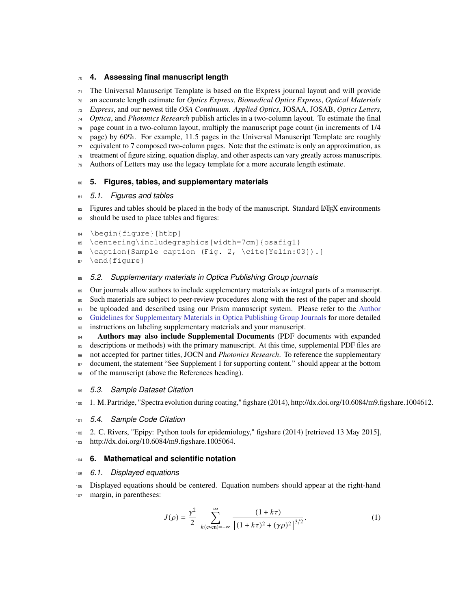#### **4. Assessing final manuscript length**

The Universal Manuscript Template is based on the Express journal layout and will provide

an accurate length estimate for *Optics Express*, *Biomedical Optics Express*, *Optical Materials*

*Express*, and our newest title *OSA Continuum*. *Applied Optics*, JOSAA, JOSAB, *Optics Letters*,

*Optica*, and *Photonics Research* publish articles in a two-column layout. To estimate the final

page count in a two-column layout, multiply the manuscript page count (in increments of 1/4

 page) by 60%. For example, 11.5 pages in the Universal Manuscript Template are roughly equivalent to 7 composed two-column pages. Note that the estimate is only an approximation, as

treatment of figure sizing, equation display, and other aspects can vary greatly across manuscripts.

Authors of Letters may use the legacy template for a more accurate length estimate.

## **5. Figures, tables, and supplementary materials**

## *5.1. Figures and tables*

 Figures and tables should be placed in the body of the manuscript. Standard LATEX environments should be used to place tables and figures:

```
84 \begin{figure}[htbp]
```
\centering\includegraphics[width=7cm]{osafig1}

```
86 \caption{Sample caption (Fig. 2, \cite{Yelin:03}).}
```

```
87 \end{figure}
```
# *5.2. Supplementary materials in Optica Publishing Group journals*

89 Our journals allow authors to include supplementary materials as integral parts of a manuscript. Such materials are subject to peer-review procedures along with the rest of the paper and should [b](https://opg.optica.org/submit/style/supplementary_materials.cfm)e uploaded and described using our Prism manuscript system. Please refer to the [Author](https://opg.optica.org/submit/style/supplementary_materials.cfm) [Guidelines for Supplementary Materials in Optica Publishing Group Journals](https://opg.optica.org/submit/style/supplementary_materials.cfm) for more detailed instructions on labeling supplementary materials and your manuscript.

 **Authors may also include Supplemental Documents** (PDF documents with expanded descriptions or methods) with the primary manuscript. At this time, supplemental PDF files are not accepted for partner titles, JOCN and *Photonics Research*. To reference the supplementary 97 document, the statement "See Supplement 1 for supporting content." should appear at the bottom of the manuscript (above the References heading).

# *5.3. Sample Dataset Citation*

1. M. Partridge, "Spectra evolution during coating," figshare (2014), http://dx.doi.org/10.6084/m9.figshare.1004612.

#### *5.4. Sample Code Citation*

 2. C. Rivers, "Epipy: Python tools for epidemiology," figshare (2014) [retrieved 13 May 2015], http://dx.doi.org/10.6084/m9.figshare.1005064.

# **6. Mathematical and scientific notation**

# *6.1. Displayed equations*

 Displayed equations should be centered. Equation numbers should appear at the right-hand margin, in parentheses:

$$
J(\rho) = \frac{\gamma^2}{2} \sum_{k(\text{even})=-\infty}^{\infty} \frac{(1+k\tau)}{\left[ (1+k\tau)^2 + (\gamma \rho)^2 \right]^{3/2}}.
$$
 (1)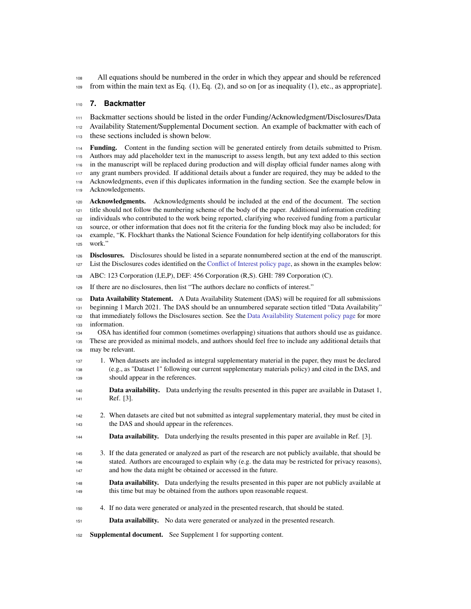All equations should be numbered in the order in which they appear and should be referenced 109 from within the main text as Eq.  $(1)$ , Eq.  $(2)$ , and so on [or as inequality  $(1)$ , etc., as appropriate].

#### **7. Backmatter**

 Backmatter sections should be listed in the order Funding/Acknowledgment/Disclosures/Data Availability Statement/Supplemental Document section. An example of backmatter with each of these sections included is shown below.

 **Funding.** Content in the funding section will be generated entirely from details submitted to Prism. Authors may add placeholder text in the manuscript to assess length, but any text added to this section in the manuscript will be replaced during production and will display official funder names along with any grant numbers provided. If additional details about a funder are required, they may be added to the Acknowledgments, even if this duplicates information in the funding section. See the example below in Acknowledgements.

 **Acknowledgments.** Acknowledgments should be included at the end of the document. The section title should not follow the numbering scheme of the body of the paper. Additional information crediting individuals who contributed to the work being reported, clarifying who received funding from a particular source, or other information that does not fit the criteria for the funding block may also be included; for example, "K. Flockhart thanks the National Science Foundation for help identifying collaborators for this work.

 **Disclosures.** Disclosures should be listed in a separate nonnumbered section at the end of the manuscript. List the Disclosures codes identified on the [Conflict of Interest policy page,](https://opg.optica.org/submit/review/conflicts-interest-policy.cfm) as shown in the examples below:

ABC: 123 Corporation (I,E,P), DEF: 456 Corporation (R,S). GHI: 789 Corporation (C).

If there are no disclosures, then list "The authors declare no conflicts of interest."

 **Data Availability Statement.** A Data Availability Statement (DAS) will be required for all submissions beginning 1 March 2021. The DAS should be an unnumbered separate section titled "Data Availability" that immediately follows the Disclosures section. See the [Data Availability Statement policy page](https://www.osapublishing.org/submit/review/data-availability-policy.cfm) for more information.

 OSA has identified four common (sometimes overlapping) situations that authors should use as guidance. These are provided as minimal models, and authors should feel free to include any additional details that may be relevant.

- 1. When datasets are included as integral supplementary material in the paper, they must be declared (e.g., as "Dataset 1" following our current supplementary materials policy) and cited in the DAS, and should appear in the references.
- **Data availability.** Data underlying the results presented in this paper are available in Dataset 1, Ref. [3].
- 2. When datasets are cited but not submitted as integral supplementary material, they must be cited in the DAS and should appear in the references.
- **Data availability.** Data underlying the results presented in this paper are available in Ref. [3].
- 3. If the data generated or analyzed as part of the research are not publicly available, that should be stated. Authors are encouraged to explain why (e.g. the data may be restricted for privacy reasons), and how the data might be obtained or accessed in the future.
- **Data availability.** Data underlying the results presented in this paper are not publicly available at this time but may be obtained from the authors upon reasonable request.
- 4. If no data were generated or analyzed in the presented research, that should be stated.
- **Data availability.** No data were generated or analyzed in the presented research.

**Supplemental document.** See Supplement 1 for supporting content.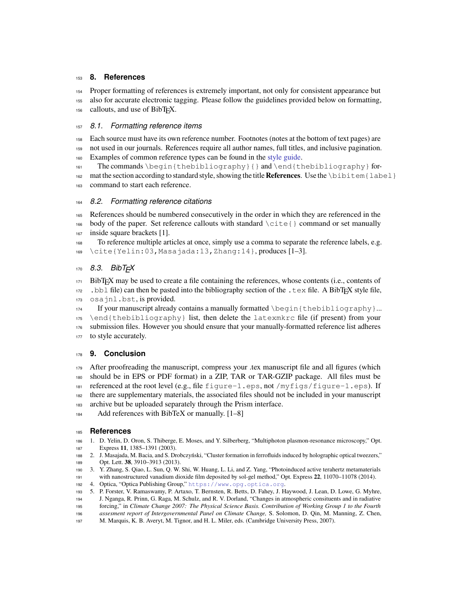#### <span id="page-4-0"></span>**8. References**

Proper formatting of references is extremely important, not only for consistent appearance but

also for accurate electronic tagging. Please follow the guidelines provided below on formatting,

callouts, and use of BibTEX.

## *8.1. Formatting reference items*

Each source must have its own reference number. Footnotes (notes at the bottom of text pages) are

not used in our journals. References require all author names, full titles, and inclusive pagination.

Examples of common reference types can be found in the [style guide.](https://www.osapublishing.org/submit/style/osa-styleguide.cfm)

161 The commands  $\begin{array}{c} 161 \text{ the column} \\ 161 \text{ the binomial} \end{array}$ 162 mat the section according to standard style, showing the title **References**. Use the \bibitem{label} command to start each reference.

## *8.2. Formatting reference citations*

 References should be numbered consecutively in the order in which they are referenced in the 166 body of the paper. Set reference callouts with standard  $\c{$ ite $\}$  command or set manually inside square brackets [1].

 To reference multiple articles at once, simply use a comma to separate the reference labels, e.g.  $_{169}$  \cite{Yelin:03, Masajada:13, Zhang:14}, produces [\[1](#page-4-1)-3].

# *8.3. BibTEX*

 BibTEX may be used to create a file containing the references, whose contents (i.e., contents of .bbl file) can then be pasted into the bibliography section of the .tex file. A BibTEX style file, osajnl.bst, is provided.

174 If your manuscript already contains a manually formatted  $\begin{bmatrix} \beta \end{bmatrix}$  \end{thebibliography} list, then delete the latexmkrc file (if present) from your submission files. However you should ensure that your manually-formatted reference list adheres 177 to style accurately.

# **9. Conclusion**

 After proofreading the manuscript, compress your .tex manuscript file and all figures (which should be in EPS or PDF format) in a ZIP, TAR or TAR-GZIP package. All files must be 181 referenced at the root level (e.g., file  $figure-1$ .eps, not /myfigs/figure-1.eps). If there are supplementary materials, the associated files should not be included in your manuscript archive but be uploaded separately through the Prism interface.

Add references with BibTeX or manually. [\[1](#page-4-1)[–8\]](#page-5-0)

#### **References**

- <span id="page-4-1"></span> 1. D. Yelin, D. Oron, S. Thiberge, E. Moses, and Y. Silberberg, "Multiphoton plasmon-resonance microscopy," Opt. Express **11**, 1385–1391 (2003).
- 2. J. Masajada, M. Bacia, and S. Drobczyński, "Cluster formation in ferrofluids induced by holographic optical tweezers," Opt. Lett. **38**, 3910–3913 (2013).
- <span id="page-4-2"></span> 3. Y. Zhang, S. Qiao, L. Sun, Q. W. Shi, W. Huang, L. Li, and Z. Yang, "Photoinduced active terahertz metamaterials with nanostructured vanadium dioxide film deposited by sol-gel method," Opt. Express **22**, 11070–11078 (2014).
- 4. Optica, "Optica Publishing Group," <https://www.opg.optica.org>.
- 5. P. Forster, V. Ramaswamy, P. Artaxo, T. Bernsten, R. Betts, D. Fahey, J. Haywood, J. Lean, D. Lowe, G. Myhre,
- J. Nganga, R. Prinn, G. Raga, M. Schulz, and R. V. Dorland, "Changes in atmospheric consituents and in radiative forcing," in *Climate Change 2007: The Physical Science Basis. Contribution of Working Group 1 to the Fourth*
- *assesment report of Intergovernmental Panel on Climate Change,* S. Solomon, D. Qin, M. Manning, Z. Chen,
- M. Marquis, K. B. Averyt, M. Tignor, and H. L. Miler, eds. (Cambridge University Press, 2007).